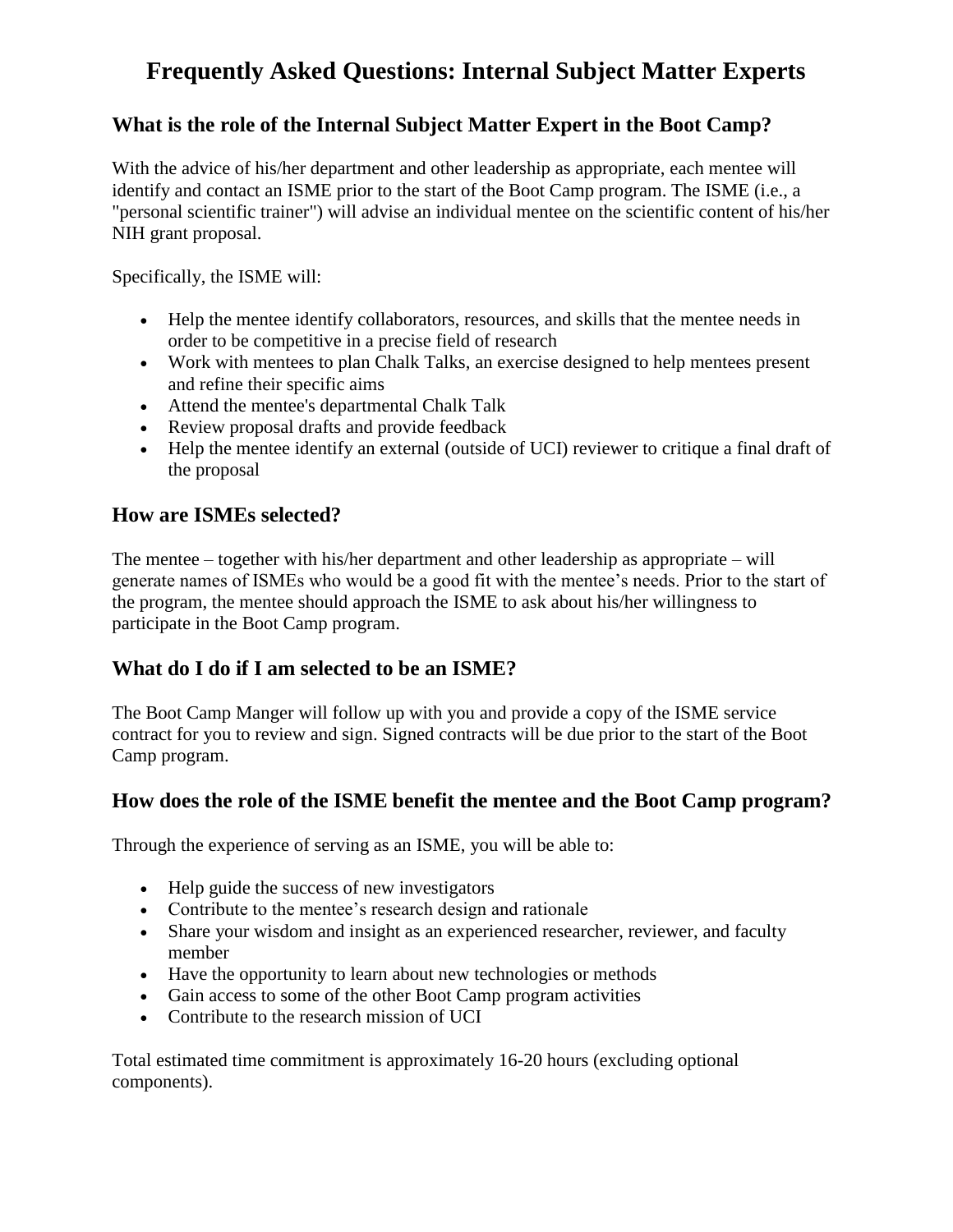## **Frequently Asked Questions: Internal Subject Matter Experts**

### **What is the role of the Internal Subject Matter Expert in the Boot Camp?**

With the advice of his/her department and other leadership as appropriate, each mentee will identify and contact an ISME prior to the start of the Boot Camp program. The ISME (i.e., a "personal scientific trainer") will advise an individual mentee on the scientific content of his/her NIH grant proposal.

Specifically, the ISME will:

- Help the mentee identify collaborators, resources, and skills that the mentee needs in order to be competitive in a precise field of research
- Work with mentees to plan Chalk Talks, an exercise designed to help mentees present and refine their specific aims
- Attend the mentee's departmental Chalk Talk
- Review proposal drafts and provide feedback
- Help the mentee identify an external (outside of UCI) reviewer to critique a final draft of the proposal

#### **How are ISMEs selected?**

The mentee – together with his/her department and other leadership as appropriate – will generate names of ISMEs who would be a good fit with the mentee's needs. Prior to the start of the program, the mentee should approach the ISME to ask about his/her willingness to participate in the Boot Camp program.

#### **What do I do if I am selected to be an ISME?**

The Boot Camp Manger will follow up with you and provide a copy of the ISME service contract for you to review and sign. Signed contracts will be due prior to the start of the Boot Camp program.

#### **How does the role of the ISME benefit the mentee and the Boot Camp program?**

Through the experience of serving as an ISME, you will be able to:

- Help guide the success of new investigators
- Contribute to the mentee's research design and rationale
- Share your wisdom and insight as an experienced researcher, reviewer, and faculty member
- Have the opportunity to learn about new technologies or methods
- Gain access to some of the other Boot Camp program activities
- Contribute to the research mission of UCI

Total estimated time commitment is approximately 16-20 hours (excluding optional components).